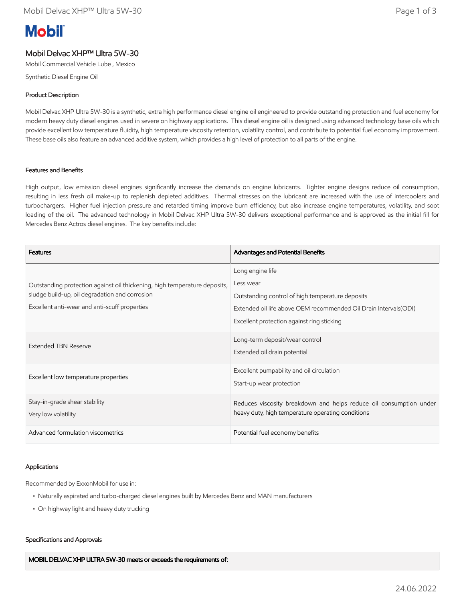# **Mobil**

## Mobil Delvac XHP™ Ultra 5W-30

Mobil Commercial Vehicle Lube , Mexico

Synthetic Diesel Engine Oil

## Product Description

Mobil Delvac XHP Ultra 5W-30 is a synthetic, extra high performance diesel engine oil engineered to provide outstanding protection and fuel economy for modern heavy duty diesel engines used in severe on highway applications. This diesel engine oil is designed using advanced technology base oils which provide excellent low temperature fluidity, high temperature viscosity retention, volatility control, and contribute to potential fuel economy improvement. These base oils also feature an advanced additive system, which provides a high level of protection to all parts of the engine.

## Features and Benefits

High output, low emission diesel engines significantly increase the demands on engine lubricants. Tighter engine designs reduce oil consumption, resulting in less fresh oil make-up to replenish depleted additives. Thermal stresses on the lubricant are increased with the use of intercoolers and turbochargers. Higher fuel injection pressure and retarded timing improve burn efficiency, but also increase engine temperatures, volatility, and soot loading of the oil. The advanced technology in Mobil Delvac XHP Ultra 5W-30 delivers exceptional performance and is approved as the initial fill for Mercedes Benz Actros diesel engines. The key benefits include:

| <b>Features</b>                                                                                                                                                              | Advantages and Potential Benefits                                  |
|------------------------------------------------------------------------------------------------------------------------------------------------------------------------------|--------------------------------------------------------------------|
| Outstanding protection against oil thickening, high temperature deposits,<br>sludge build-up, oil degradation and corrosion<br>Excellent anti-wear and anti-scuff properties | Long engine life                                                   |
|                                                                                                                                                                              | Less wear                                                          |
|                                                                                                                                                                              | Outstanding control of high temperature deposits                   |
|                                                                                                                                                                              | Extended oil life above OEM recommended Oil Drain Intervals(ODI)   |
|                                                                                                                                                                              | Excellent protection against ring sticking                         |
| Extended TBN Reserve                                                                                                                                                         | Long-term deposit/wear control                                     |
|                                                                                                                                                                              | Extended oil drain potential                                       |
| Excellent low temperature properties                                                                                                                                         | Excellent pumpability and oil circulation                          |
|                                                                                                                                                                              | Start-up wear protection                                           |
| Stay-in-grade shear stability                                                                                                                                                | Reduces viscosity breakdown and helps reduce oil consumption under |
| Very low volatility                                                                                                                                                          | heavy duty, high temperature operating conditions                  |
| Advanced formulation viscometrics                                                                                                                                            | Potential fuel economy benefits                                    |

## Applications

Recommended by ExxonMobil for use in:

- Naturally aspirated and turbo-charged diesel engines built by Mercedes Benz and MAN manufacturers
- On highway light and heavy duty trucking

### Specifications and Approvals

MOBIL DELVAC XHP ULTRA 5W-30 meets or exceeds the requirements of: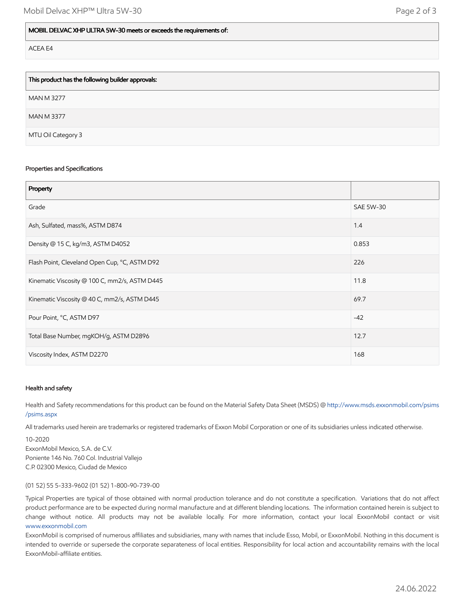| This product has the following builder approvals: |
|---------------------------------------------------|
| <b>MAN M 3277</b>                                 |
| <b>MAN M 3377</b>                                 |
| MTU Oil Category 3                                |

#### Properties and Specifications

| Property                                      |                  |
|-----------------------------------------------|------------------|
| Grade                                         | <b>SAE 5W-30</b> |
| Ash, Sulfated, mass%, ASTM D874               | 1.4              |
| Density @ 15 C, kg/m3, ASTM D4052             | 0.853            |
| Flash Point, Cleveland Open Cup, °C, ASTM D92 | 226              |
| Kinematic Viscosity @ 100 C, mm2/s, ASTM D445 | 11.8             |
| Kinematic Viscosity @ 40 C, mm2/s, ASTM D445  | 69.7             |
| Pour Point, °C, ASTM D97                      | $-42$            |
| Total Base Number, mgKOH/g, ASTM D2896        | 12.7             |
| Viscosity Index, ASTM D2270                   | 168              |

### Health and safety

Health and Safety recommendations for this product can be found on the Material Safety Data Sheet (MSDS) @ [http://www.msds.exxonmobil.com/psims](http://www.msds.exxonmobil.com/psims/psims.aspx) /psims.aspx

All trademarks used herein are trademarks or registered trademarks of Exxon Mobil Corporation or one of its subsidiaries unless indicated otherwise.

10-2020 ExxonMobil Mexico, S.A. de C.V. Poniente 146 No. 760 Col. Industrial Vallejo C.P. 02300 Mexico, Ciudad de Mexico

#### (01 52) 55 5-333-9602 (01 52) 1-800-90-739-00

Typical Properties are typical of those obtained with normal production tolerance and do not constitute a specification. Variations that do not affect product performance are to be expected during normal manufacture and at different blending locations. The information contained herein is subject to change without notice. All products may not be available locally. For more information, contact your local ExxonMobil contact or visit [www.exxonmobil.com](http://www.exxonmobil.com/)

ExxonMobil is comprised of numerous affiliates and subsidiaries, many with names that include Esso, Mobil, or ExxonMobil. Nothing in this document is intended to override or supersede the corporate separateness of local entities. Responsibility for local action and accountability remains with the local ExxonMobil-affiliate entities.